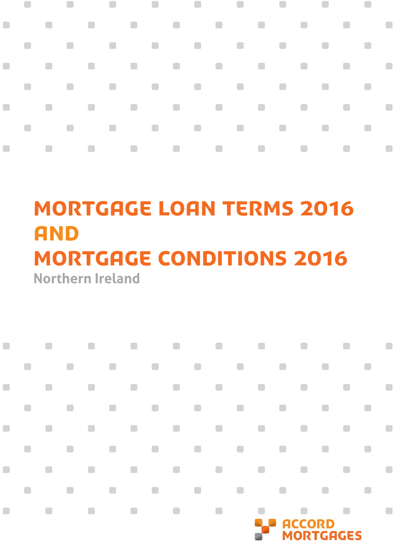#### $\mathcal{L}_{\mathcal{A}}$  $\blacksquare$  $\overline{\phantom{a}}$  $\overline{\phantom{a}}$  $\overline{\phantom{a}}$  $\Box$  $\Box$ O  $\Box$  $\Box$  $\Box$  $\Box$  $\Box$  $\Box$  $\Box$  $\mathcal{L}_{\mathcal{A}}$  $\blacksquare$  $\Box$  $\overline{\phantom{a}}$  $\Box$  $\overline{\phantom{a}}$  $\overline{\phantom{a}}$  $\Box$  $\blacksquare$  $\blacksquare$ O  $\Box$ O  $\Box$  $\Box$  $\qquad \qquad \Box$  $\Box$  $\mathbb{R}^n$  $\Box$  $\Box$  $\Box$  $\Box$  $\Box$  $\overline{\phantom{a}}$

# **Northern Ireland** MORTGAGE LOAN TERMS 2016 **AND** mortgage conditions 2016

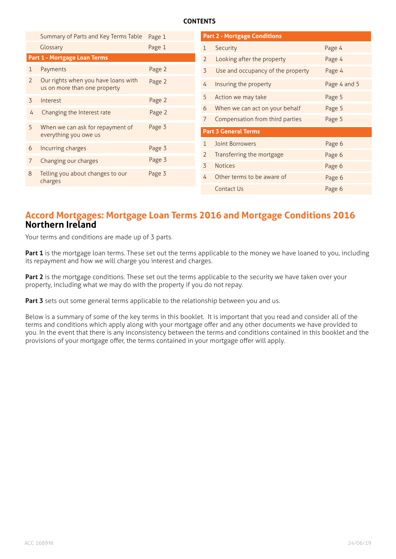# **CONTENTS**

|                              | Summary of Parts and Key Terms Table                                | Page 1 |                                                       | <b>Part 2 - Mortgage Conditions</b> |              |
|------------------------------|---------------------------------------------------------------------|--------|-------------------------------------------------------|-------------------------------------|--------------|
|                              | Glossary                                                            | Page 1 | 1                                                     | Security                            | Page 4       |
| Part 1 - Mortgage Loan Terms |                                                                     |        | $\overline{2}$                                        | Looking after the property          | Page 4       |
| 1                            | Payments                                                            | Page 2 | $\overline{3}$<br>$\overline{4}$<br>5<br>6<br>7       | Use and occupancy of the property   | Page 4       |
| $\overline{2}$               | Our rights when you have loans with<br>us on more than one property | Page 2 |                                                       | Insuring the property               | Page 4 and 5 |
| $\overline{3}$               | Interest                                                            | Page 2 |                                                       | Action we may take                  | Page 5       |
| 4                            | Changing the Interest rate                                          | Page 2 |                                                       | When we can act on your behalf      | Page 5       |
|                              |                                                                     |        |                                                       | Compensation from third parties     | Page 5       |
| 5                            | When we can ask for repayment of<br>everything you owe us           | Page 3 | <b>Part 3 General Terms</b>                           |                                     |              |
| 6                            | Incurring charges                                                   | Page 3 | $\mathbf{1}$<br>$\overline{2}$<br>3<br>$\overline{4}$ | Joint Borrowers                     | Page 6       |
|                              |                                                                     | Page 3 |                                                       | Transferring the mortgage           | Page 6       |
| $\overline{7}$               | Changing our charges                                                |        |                                                       | <b>Notices</b>                      | Page 6       |
| 8                            | Telling you about changes to our<br>charges                         | Page 3 |                                                       | Other terms to be aware of          | Page 6       |
|                              |                                                                     |        |                                                       | Contact Us                          | Page 6       |

# **Accord Mortgages: Mortgage Loan Terms 2016 and Mortgage Conditions 2016 Northern Ireland**

Your terms and conditions are made up of 3 parts.

Part 1 is the mortgage loan terms. These set out the terms applicable to the money we have loaned to you, including its repayment and how we will charge you interest and charges.

**Part 2** is the mortgage conditions. These set out the terms applicable to the security we have taken over your property, including what we may do with the property if you do not repay.

Part 3 sets out some general terms applicable to the relationship between you and us.

Below is a summary of some of the key terms in this booklet. It is important that you read and consider all of the terms and conditions which apply along with your mortgage offer and any other documents we have provided to you. In the event that there is any inconsistency between the terms and conditions contained in this booklet and the provisions of your mortgage offer, the terms contained in your mortgage offer will apply.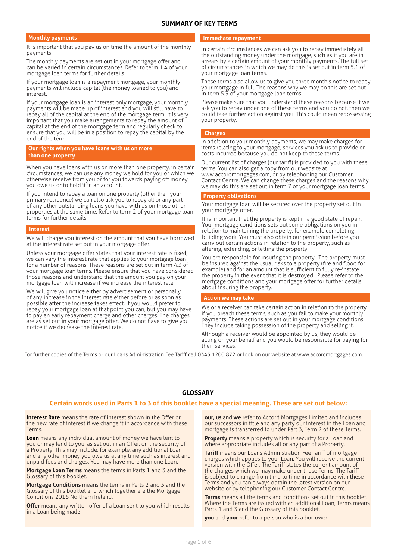## **SUMMARY OF KEY TERMS**

#### **Monthly payments**

It is important that you pay us on time the amount of the monthly payments.

The monthly payments are set out in your mortgage offer and can be varied in certain circumstances. Refer to term 1.4 of your mortgage loan terms for further details.

If your mortgage loan is a repayment mortgage, your monthly payments will include capital (the money loaned to you) and interest.

If your mortgage loan is an interest only mortgage, your monthly payments will be made up of interest and you will still have to repay all of the capital at the end of the mortgage term. It is very important that you make arrangements to repay the amount of capital at the end of the mortgage term and regularly check to ensure that you will be in a position to repay the capital by the end of the term.

#### **Our rights when you have loans with us on more than one property**

When you have loans with us on more than one property, in certain circumstances, we can use any money we hold for you or which we otherwise receive from you or for you towards paying off money you owe us or to hold it in an account.

If you intend to repay a loan on one property (other than your primary residence) we can also ask you to repay all or any part of any other outstanding loans you have with us on those other properties at the same time. Refer to term 2 of your mortgage loan terms for further details.

#### **Interest**

We will charge you interest on the amount that you have borrowed at the interest rate set out in your mortgage offer.

Unless your mortgage offer states that your interest rate is fixed, we can vary the interest rate that applies to your mortgage loan for a number of reasons. These reasons are set out in term 4.3 of your mortgage loan terms. Please ensure that you have considered those reasons and understand that the amount you pay on your mortgage loan will increase if we increase the interest rate.

We will give you notice either by advertisement or personally of any increase in the interest rate either before or as soon as possible after the increase takes effect. If you would prefer to repay your mortgage loan at that point you can, but you may have to pay an early repayment charge and other charges. The charges are as set out in your mortgage offer. We do not have to give you notice if we decrease the interest rate.

#### **Immediate repayment**

In certain circumstances we can ask you to repay immediately all the outstanding money under the mortgage, such as if you are in arrears by a certain amount of your monthly payments. The full set of circumstances in which we may do this is set out in term 5.1 of your mortgage loan terms.

These terms also allow us to give you three month's notice to repay your mortgage in full. The reasons why we may do this are set out in term 5.3 of your mortgage loan terms.

Please make sure that you understand these reasons because if we ask you to repay under one of these terms and you do not, then we could take further action against you. This could mean repossessing your property.

#### **Charges**

In addition to your monthly payments, we may make charges for items relating to your mortgage, services you ask us to provide or costs incurred because you do not keep to these terms.

Our current list of charges (our tariff) is provided to you with these terms. You can also get a copy from our website at www.accordmortgages.com, or by telephoning our Customer Contact Centre. We can change these charges and the reasons why we may do this are set out in term 7 of your mortgage loan terms.

#### **Property obligations**

Your mortgage loan will be secured over the property set out in your mortgage offer.

It is important that the property is kept in a good state of repair. Your mortgage conditions sets out some obligations on you in relation to maintaining the property, for example completing building work. You must also obtain our permission before you carry out certain actions in relation to the property, such as altering, extending, or letting the property.

You are responsible for insuring the property. The property must be insured against the usual risks to a property (fire and flood for example) and for an amount that is sufficient to fully re-instate the property in the event that it is destroyed. Please refer to the mortgage conditions and your mortgage offer for further details about insuring the property.

#### **Action we may take**

We or a receiver can take certain action in relation to the property if you breach these terms, such as you fail to make your monthly payments. These actions are set out in your mortgage conditions. They include taking possession of the property and selling it.

Although a receiver would be appointed by us, they would be acting on your behalf and you would be responsible for paying for their services.

For further copies of the Terms or our Loans Administration Fee Tariff call 0345 1200 872 or look on our website at www.accordmortgages.com.

#### **GLOSSARY**

#### **Certain words used in Parts 1 to 3 of this booklet have a special meaning. These are set out below:**

**Interest Rate** means the rate of interest shown in the Offer or the new rate of interest if we change it in accordance with these Terms.

**Loan** means any individual amount of money we have lent to you or may lend to you, as set out in an Offer, on the security of a Property. This may include, for example, any additional Loan and any other money you owe us at any time such as interest and unpaid fees and charges. You may have more than one Loan.

**Mortgage Loan Terms** means the terms in Parts 1 and 3 and the Glossary of this booklet.

**Mortgage Conditions** means the terms in Parts 2 and 3 and the Glossary of this booklet and which together are the Mortgage Conditions 2016 Northern Ireland.

**Offer** means any written offer of a Loan sent to you which results in a Loan being made.

**our, us** and **we** refer to Accord Mortgages Limited and includes our successors in title and any party our interest in the Loan and mortgage is transferred to under Part 3, Term 2 of these Terms.

**Property** means a property which is security for a Loan and where appropriate includes all or any part of a Property.

**Tariff** means our Loans Administration Fee Tariff of mortgage charges which applies to your Loan. You will receive the current version with the Offer. The Tariff states the current amount of the charges which we may make under these Terms. The Tariff is subject to change from time to time in accordance with these Terms and you can always obtain the latest version on our website or by telephoning our Customer Contact Centre.

**Terms** means all the terms and conditions set out in this booklet. Where the Terms are issued with an additional Loan, Terms means Parts 1 and 3 and the Glossary of this booklet.

**you** and **your** refer to a person who is a borrower.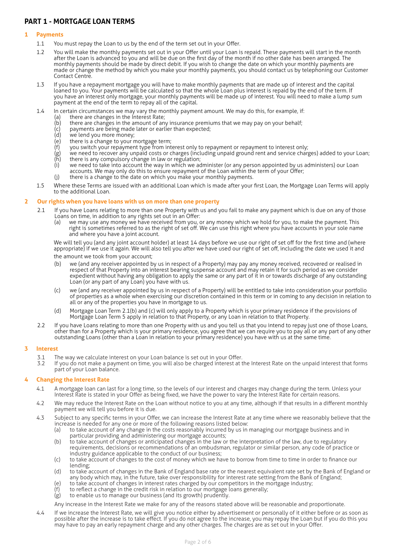# **PART 1 - MORTGAGE LOAN TERMS**

#### **1 Payments**

- 1.1 You must repay the Loan to us by the end of the term set out in your Offer.
- 1.2 You will make the monthly payments set out in your Offer until your Loan is repaid. These payments will start in the month after the Loan is advanced to you and will be due on the first day of the month if no other date has been arranged. The monthly payments should be made by direct debit. If you wish to change the date on which your monthly payments are made or change the method by which you make your monthly payments, you should contact us by telephoning our Customer Contact Centre.
- 1.3 If you have a repayment mortgage you will have to make monthly payments that are made up of interest and the capital loaned to you. Your payments will be calculated so that the whole Loan plus interest is repaid by the end of the term. If you have an interest only mortgage, your monthly payments will be made up of interest. You will need to make a lump sum payment at the end of the term to repay all of the capital.
- 1.4 In certain circumstances we may vary the monthly payment amount. We may do this, for example, if:
	- (a) there are changes in the Interest Rate;<br>(b) there are changes in the amount of any
	- $\overline{b}$  there are changes in the amount of any insurance premiums that we may pay on your behalf;<br>(c) payments are being made later or earlier than expected;
	- payments are being made later or earlier than expected;
	- (d) we lend you more money;<br>(e) there is a change to your r
	- (e) there is a change to your mortgage term;<br>(f) vou switch your repayment type from int
	- you switch your repayment type from interest only to repayment or repayment to interest only;
	- (g) we need to recover any unpaid costs or charges (including unpaid ground rent and service charges) added to your Loan;<br>(h) there is any compulsory change in law or regulation; there is any compulsory change in law or regulation;
	- (i) we need to take into account the way in which we administer (or any person appointed by us administers) our Loan accounts. We may only do this to ensure repayment of the Loan within the term of your Offer;
	- (j) there is a change to the date on which you make your monthly payments.
- 1.5 Where these Terms are issued with an additional Loan which is made after your first Loan, the Mortgage Loan Terms will apply to the additional Loan.

#### **2 Our rights when you have loans with us on more than one property**

- 2.1 If you have Loans relating to more than one Property with us and you fail to make any payment which is due on any of those Loans on time, in addition to any rights set out in an Offer:
	- (a) we may use any money we have received from you, or any money which we hold for you, to make the payment. This right is sometimes referred to as the right of set off . We can use this right where you have accounts in your sole name and where you have a joint account.

We will tell you (and any joint account holder) at least 14 days before we use our right of set off for the first time and (where appropriate) if we use it again. We will also tell you after we have used our right of set off, including the date we used it and

- the amount we took from your account;
- (b) we (and any receiver appointed by us in respect of a Property) may pay any money received, recovered or realised in respect of that Property into an interest bearing suspense account and may retain it for such period as we consider expedient without having any obligation to apply the same or any part of it in or towards discharge of any outstanding Loan (or any part of any Loan) you have with us.
- (c) we (and any receiver appointed by us in respect of a Property) will be entitled to take into consideration your portfolio of properties as a whole when exercising our discretion contained in this term or in coming to any decision in relation to all or any of the properties you have in mortgage to us.
- (d) Mortgage Loan Term 2.1(b) and (c) will only apply to a Property which is your primary residence if the provisions of Mortgage Loan Term 5 apply in relation to that Property, or any Loan in relation to that Property.
- 2.2 If you have Loans relating to more than one Property with us and you tell us that you intend to repay just one of those Loans, other than for a Property which is your primary residence, you agree that we can require you to pay all or any part of any other outstanding Loans (other than a Loan in relation to your primary residence) you have with us at the same time.

#### **3 Interest**

- 3.1 The way we calculate interest on your Loan balance is set out in your Offer.<br>3.2 If you do not make a payment on time you will also be charged interest at t
- If you do not make a payment on time, you will also be charged interest at the Interest Rate on the unpaid interest that forms part of your Loan balance.

#### **4 Changing the Interest Rate**

- 4.1 A mortgage loan can last for a long time, so the levels of our interest and charges may change during the term. Unless your Interest Rate is stated in your Offer as being fixed, we have the power to vary the Interest Rate for certain reasons.
- 4.2 We may reduce the Interest Rate on the Loan without notice to you at any time, although if that results in a different monthly payment we will tell you before it is due.
- 4.3 Subject to any specific terms in your Offer, we can increase the Interest Rate at any time where we reasonably believe that the increase is needed for any one or more of the following reasons listed below:
	- (a) to take account of any change in the costs reasonably incurred by us in managing our mortgage business and in particular providing and administering our mortgage accounts;
	- (b) to take account of changes or anticipated changes in the law or the interpretation of the law, due to regulatory requirements, decisions or recommendations of an ombudsman, regulator or similar person, any code of practice or industry guidance applicable to the conduct of our business;
	- (c) to take account of changes to the cost of money which we have to borrow from time to time in order to finance our lending;
	- (d) to take account of changes in the Bank of England base rate or the nearest equivalent rate set by the Bank of England or any body which may, in the future, take over responsibility for interest rate setting from the Bank of England;
	- (e) to take account of changes in interest rates charged by our competitors in the mortgage industry;
	- to reflect a change in the credit risk in relation to our mortgage loans generally;
	- (g) to enable us to manage our business (and its growth) prudently.

Any increase in the Interest Rate we make for any of the reasons stated above will be reasonable and proportionate.

4.4 If we increase the Interest Rate, we will give you notice either by advertisement or personally of it either before or as soon as possible after the increase is to take effect. If you do not agree to the increase, you may repay the Loan but if you do this you may have to pay an early repayment charge and any other charges. The charges are as set out in your Offer.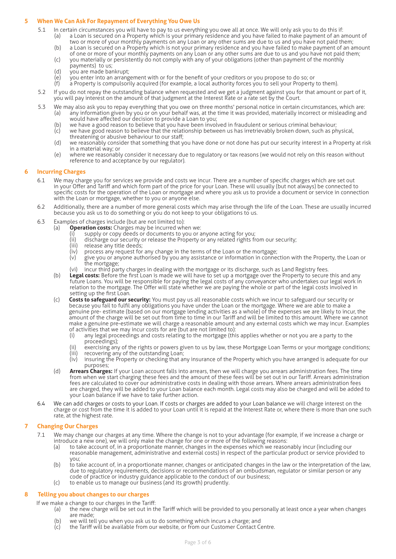#### **5 When We Can Ask For Repayment of Everything You Owe Us**

- 5.1 In certain circumstances you will have to pay to us everything you owe all at once. We will only ask you to do this if:
	- (a) a Loan is secured on a Property which is your primary residence and you have failed to make payment of an amount of two or more of your monthly payments on any Loan or any other sums are due to us and you have not paid them;
	- (b) a Loan is secured on a Property which is not your primary residence and you have failed to make payment of an amount of one or more of your monthly payments on any Loan or any other sums are due to us and you have not paid them;
	- (c) you materially or persistently do not comply with any of your obligations (other than payment of the monthly payments) to us:
	- (d) you are made bankrupt;
	- $\overline{e}$  you enter into an arrangement with or for the benefit of your creditors or you propose to do so; or (f) a Property is compulsorily acquired (for example, a local authority forces you to sell your Property
	- (f) a Property is compulsorily acquired (for example, a local authority forces you to sell your Property to them).
- 5.2 If you do not repay the outstanding balance when requested and we get a judgment against you for that amount or part of it, you will pay interest on the amount of that judgment at the Interest Rate or a rate set by the Court.
- 5.3 We may also ask you to repay everything that you owe on three months' personal notice in certain circumstances, which are: (a) any information given by you or on your behalf was, at the time it was provided, materially incorrect or misleading and would have affected our decision to provide a Loan to you;
	- (b) we have a good reason to believe that you have been involved in fraudulent or serious criminal behaviour;
	- (c) we have good reason to believe that the relationship between us has irretrievably broken down, such as physical, threatening or abusive behaviour to our staff;
	- (d) we reasonably consider that something that you have done or not done has put our security interest in a Property at risk in a material way; or
	- (e) where we reasonably consider it necessary due to regulatory or tax reasons (we would not rely on this reason without reference to and acceptance by our regulator).

#### **6 Incurring Charges**

- 6.1 We may charge you for services we provide and costs we incur. There are a number of specific charges which are set out in your Offer and Tariff and which form part of the price for your Loan. These will usually (but not always) be connected to specific costs for the operation of the Loan or mortgage and where you ask us to provide a document or service in connection with the Loan or mortgage, whether to you or anyone else.
- 6.2 Additionally, there are a number of more general costs which may arise through the life of the Loan. These are usually incurred because you ask us to do something or you do not keep to your obligations to us.
- 6.3 Examples of charges include (but are not limited to):<br>(a) **Operation costs:** Charges may be incurred wh
	- (a) **Operation costs:** Charges may be incurred when we:
		- (i) supply or copy deeds or documents to you or anyone acting for you;
		- (ii) discharge our security or release the Property or any related rights from our security;<br>(iii) release any title deeds:
		- (iii) release any title deeds;<br>(iv) process any request for
		- $(iv)$  process any request for any change in the terms of the Loan or the mortgage;<br>(v) give you or anyone authorised by you any assistance or information in connection
		- give you or anyone authorised by you any assistance or information in connection with the Property, the Loan or the mortgage;
		- (vi) incur third party charges in dealing with the mortgage or its discharge, such as Land Registry fees.
	- (b) Legal costs: Before the first Loan is made we will have to set up a mortgage over the Property to secure this and any future Loans. You will be responsible for paying the legal costs of any conveyancer who undertakes our legal work in relation to the mortgage. The Offer will state whether we are paying the whole or part of the legal costs involved in setting up the first Loan.
	- (c) **Costs to safeguard our security:** You must pay us all reasonable costs which we incur to safeguard our security or because you fail to fulfi l any obligations you have under the Loan or the mortgage. Where we are able to make a genuine pre- estimate (based on our mortgage lending activities as a whole) of the expenses we are likely to incur, the amount of the charge will be set out from time to time in our Tariff and will be limited to this amount. Where we cannot make a genuine pre-estimate we will charge a reasonable amount and any external costs which we may incur. Examples of activities that we may incur costs for are (but are not limited to):
		- (i) any legal proceedings and costs relating to the mortgage (this applies whether or not you are a party to the proceedings);
		- (ii) exercising any of the rights or powers given to us by law, these Mortgage Loan Terms or your mortgage conditions;<br>(iii) recovering any of the outstanding Loan;
		- (iii) recovering any of the outstanding Loan;<br>(iv) insuring the Property or checking that a insuring the Property or checking that any insurance of the Property which you have arranged is adequate for our
	- purposes; (d) **Arrears Charges:** If your Loan account falls into arrears, then we will charge you arrears administration fees. The time
	- from when we start charging these fees and the amount of these fees will be set out in our Tariff. Arrears administration fees are calculated to cover our administrative costs in dealing with those arrears. Where arrears administration fees are charged, they will be added to your Loan balance each month. Legal costs may also be charged and will be added to your Loan balance if we have to take further action.
- 6.4 We can add charges or costs to your Loan. If costs or charges are added to your Loan balance we will charge interest on the charge or cost from the time it is added to your Loan until it is repaid at the Interest Rate or, where there is more than one such rate, at the highest rate.

#### **7 Changing Our Charges**

- 7.1 We may change our charges at any time. Where the change is not to your advantage (for example, if we increase a charge or
	- introduce a new one), we will only make the change for one or more of the following reasons:<br>(a) to take account of, in a proportionate manner, changes in the expenses which we reaso to take account of, in a proportionate manner, changes in the expenses which we reasonably incur (including our reasonable management, administrative and external costs) in respect of the particular product or service provided to you;
	- (b) to take account of, in a proportionate manner, changes or anticipated changes in the law or the interpretation of the law, due to regulatory requirements, decisions or recommendations of an ombudsman, regulator or similar person or any code of practice or industry guidance applicable to the conduct of our business;
	- (c) to enable us to manage our business (and its growth) prudently.

#### **8 Telling you about changes to our charges**

If we make a change to our charges in the Tariff:

- (a) the new charge will be set out in the Tariff which will be provided to you personally at least once a year when changes are made;
- (b) we will tell you when you ask us to do something which incurs a charge; and (c) the Tariff will be available from our website, or from our Customer Contact C
- the Tariff will be available from our website, or from our Customer Contact Centre.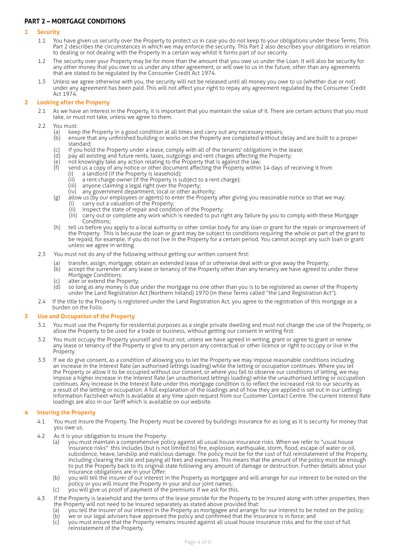# **PART 2 – MORTGAGE CONDITIONS**

#### **1 Security**

- 1.1 You have given us security over the Property to protect us in case you do not keep to your obligations under these Terms. This Part 2 describes the circumstances in which we may enforce the security. This Part 2 also describes your obligations in relation to dealing or not dealing with the Property in a certain way whilst it forms part of our security.
- 1.2 The security over your Property may be for more than the amount that you owe us under the Loan. It will also be security for any other money that you owe to us under any other agreement, or will owe to us in the future, other than any agreements that are stated to be regulated by the Consumer Credit Act 1974.
- 1.3 Unless we agree otherwise with you, the security will not be released until all money you owe to us (whether due or not) under any agreement has been paid. This will not affect your right to repay any agreement regulated by the Consumer Credit Act 1974.

#### **2 Looking after the Property**

- 2.1 As we have an interest in the Property, it is important that you maintain the value of it. There are certain actions that you must take, or must not take, unless we agree to them.
- 2.2 You must:
	-
	- (a) keep the Property in a good condition at all times and carry out any necessary repairs;<br>(b) ensure that any unfinished building or works on the Property are completed without d ensure that any unfinished building or works on the Property are completed without delay and are built to a proper standard;
	- (c) if you hold the Property under a lease, comply with all of the tenants' obligations in the lease;<br>(d) pay all existing and future rents, taxes, outgoings and rent charges affecting the Property;
	- (d) pay all existing and future rents, taxes, outgoings and rent charges affecting the Property;<br>(e) not knowingly take any action relating to the Property that is against the law;
	- $\overrightarrow{e}$  not knowingly take any action relating to the Property that is against the law;<br>(f) send us a cony of any notice or other document affecting the Property within
		- send us a copy of any notice or other document affecting the Property within 14 days of receiving it from:
			- (i) a landlord (if the Property is leasehold);
			- (ii) a rent charge owner (if the Property is subject to a rent charge);<br>(iii) anyone claiming a legal right over the Property:
			- (iii) anyone claiming a legal right over the Property;<br>(iv) any government department, local or other autl
			- any government department, local or other authority;
	- (g) allow us (by our employees or agents) to enter the Property after giving you reasonable notice so that we may: (i) carry out a valuation of the Property;
		- (ii) inspect the state of repair and condition of the Property;<br>(iii) carry out or complete any work which is needed to put ri
		- carry out or complete any work which is needed to put right any failure by you to comply with these Mortgage Conditions;
	- (h) tell us before you apply to a local authority or other similar body for any loan or grant for the repair or improvement of the Property. This is because the loan or grant may be subject to conditions requiring the whole or part of the grant to be repaid, for example, if you do not live in the Property for a certain period. You cannot accept any such loan or grant unless we agree in writing.
- 2.3 You must not do any of the following without getting our written consent first:
	- (a) transfer, assign, mortgage, obtain an extended lease of or otherwise deal with or give away the Property;
	- (b) accept the surrender of any lease or tenancy of the Property other than any tenancy we have agreed to under these Mortgage Conditions;
	- (c) alter or extend the Property;<br>(d) so long as any money is due
	- so long as any money is due under the mortgage no one other than you is to be registered as owner of the Property under the Land Registration Act (Northern Ireland) 1970 (in these Terms called "the Land Registration Act");
- 2.4 If the title to the Property is registered under the Land Registration Act, you agree to the registration of this mortgage as a burden on the Folio.

#### **3 Use and Occupation of the Property**

- 3.1 You must use the Property for residential purposes as a single private dwelling and must not change the use of the Property, or allow the Property to be used for a trade or business, without getting our consent in writing first.
- 3.2 You must occupy the Property yourself and must not, unless we have agreed in writing, grant or agree to grant or renew any lease or tenancy of the Property or give to any person any contractual or other licence or right to occupy or live in the Property.
- 3.3 If we do give consent, as a condition of allowing you to let the Property we may impose reasonable conditions including an increase in the Interest Rate (an authorised lettings loading) while the letting or occupation continues. Where you let the Property or allow it to be occupied without our consent, or where you fail to observe our conditions of letting, we may impose a higher increase in the Interest Rate (an unauthorised lettings loading) while the unauthorised letting or occupation continues. Any increase in the Interest Rate under this mortgage condition is to reflect the increased risk to our security as a result of the letting or occupation. A full explanation of the loadings and of how they are applied is set out in our Lettings Information Factsheet which is available at any time upon request from our Customer Contact Centre. The current Interest Rate loadings are also in our Tariff which is available on our website.

#### **4 Insuring the Property**

- 4.1 You must insure the Property. The Property must be covered by buildings insurance for as long as it is security for money that you owe us.
- 4.2 As it is your obligation to insure the Property:
	- (a) you must maintain a comprehensive policy against all usual house insurance risks. When we refer to "usual house insurance risks" this includes (but is not limited to) fire, explosion, earthquake, storm, flood, escape of water or oil, subsidence, heave, landslip and malicious damage. The policy must be for the cost of full reinstatement of the Property, including clearing the site and paying all fees and expenses. This means that the amount of the policy must be enough to put the Property back to its original state following any amount of damage or destruction. Further details about your insurance obligations are in your Offer;
	- (b) you will tell the insurer of our interest in the Property as mortgagee and will arrange for our interest to be noted on the policy or you will insure the Property in your and our joint names;
	- (c) you will give us proof of payment of the premiums if we ask for this.
- 4.3 If the Property is leasehold and the terms of the lease provide for the Property to be insured along with other properties, then the Property will not need to be insured separately as stated above provided that:<br>(a) you tell the insurer of our interest in the Property as mortgagee and arrange
	- (a) you tell the insurer of our interest in the Property as mortgagee and arrange for our interest to be noted on the policy;<br>(b) we or our legal advisers have approved the policy and confirmed that the insurance is in for
	- we or our legal advisers have approved the policy and confirmed that the insurance is in force; and
	- (c) you must ensure that the Property remains insured against all usual house insurance risks and for the cost of full reinstatement of the Property.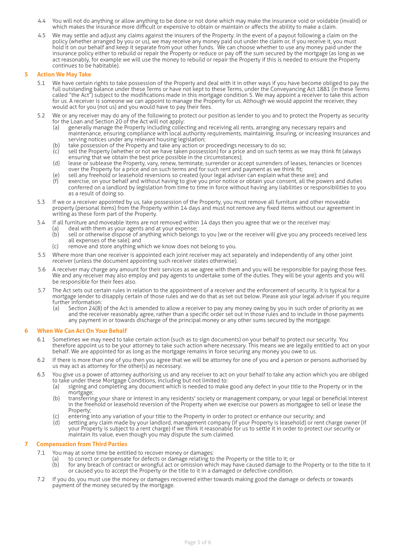- 4.4 You will not do anything or allow anything to be done or not done which may make the insurance void or voidable (invalid) or which makes the insurance more difficult or expensive to obtain or maintain or affects the ability to make a claim.
- 4.5 We may settle and adjust any claims against the insurers of the Property. In the event of a payout following a claim on the policy (whether arranged by you or us), we may receive any money paid out under the claim or, if you receive it, you must hold it on our behalf and keep it separate from your other funds. We can choose whether to use any money paid under the insurance policy either to rebuild or repair the Property or reduce or pay off the sum secured by the mortgage (as long as we act reasonably, for example we will use the money to rebuild or repair the Property if this is needed to ensure the Property continues to be habitable).

#### **5 Action We May Take**

- 5.1 We have certain rights to take possession of the Property and deal with it in other ways if you have become obliged to pay the full outstanding balance under these Terms or have not kept to these Terms, under the Conveyancing Act 1881 (in these Terms called "the Act") subject to the modifications made in this mortgage condition 5. We may appoint a receiver to take this action for us. A receiver is someone we can appoint to manage the Property for us. Although we would appoint the receiver, they would act for you (not us) and you would have to pay their fees.
- 5.2 We or any receiver may do any of the following to protect our position as lender to you and to protect the Property as security for the Loan and Section 20 of the Act will not apply:
	- (a) generally manage the Property including collecting and receiving all rents, arranging any necessary repairs and maintenance, ensuring compliance with local authority requirements, maintaining, insuring, or increasing insurances and serving notices under any relevant housing legislation;
	- (b) take possession of the Property and take any action or proceedings necessary to do so;<br>(c) sell the Property (whether or not we have taken possession) for a price and on such teri
	- (and possession or the rroperty and the eng determent procession) for a price and on such terms as we may think fit (always sell the Property (whether or not we have taken possession) for a price and on such terms as we ma ensuring that we obtain the best price possible in the circumstances);
	- (d) lease or sublease the Property, vary, renew, terminate, surrender or accept surrenders of leases, tenancies or licences over the Property for a price and on such terms and for such rent and payment as we think fit;
	- (e) sell any freehold or leasehold reversions so created (your legal adviser can explain what these are); and<br>(f) exercise on your behalf and without having to give you prior notice or obtain your consent, all the nowe
	- exercise, on your behalf and without having to give you prior notice or obtain your consent, all the powers and duties conferred on a landlord by legislation from time to time in force without having any liabilities or responsibilities to you as a result of doing so.
- 5.3 If we or a receiver appointed by us, take possession of the Property, you must remove all furniture and other moveable property (personal items) from the Property within 14 days and must not remove any fixed items without our agreement in writing as these form part of the Property.
- 5.4 If all furniture and moveable items are not removed within 14 days then you agree that we or the receiver may:
	- (a) deal with them as your agents and at your expense;<br>(b) sell or otherwise dispose of anything which belongs sell or otherwise dispose of anything which belongs to you (we or the receiver will give you any proceeds received less all expenses of the sale); and
	- (c) remove and store anything which we know does not belong to you.
- 5.5 Where more than one receiver is appointed each joint receiver may act separately and independently of any other joint receiver (unless the document appointing such receiver states otherwise).
- 5.6 A receiver may charge any amount for their services as we agree with them and you will be responsible for paying those fees. We and any receiver may also employ and pay agents to undertake some of the duties. They will be your agents and you will be responsible for their fees also.
- 5.7 The Act sets out certain rules in relation to the appointment of a receiver and the enforcement of security. It is typical for a mortgage lender to disapply certain of those rules and we do that as set out below. Please ask your legal adviser if you require further information:
	- (a) Section 24(8) of the Act is amended to allow a receiver to pay any money owing by you in such order of priority as we and the receiver reasonably agree, rather than a specific order set out in those rules and to include in those payments any payment in or towards discharge of the principal money or any other sums secured by the mortgage.

#### **6 When We Can Act On Your Behalf**

- 6.1 Sometimes we may need to take certain action (such as to sign documents) on your behalf to protect our security. You therefore appoint us to be your attorney to take such action where necessary. This means we are legally entitled to act on your behalf. We are appointed for as long as the mortgage remains in force securing any money you owe to us.
- 6.2 If there is more than one of you then you agree that we will be attorney for one of you and a person or persons authorised by us may act as attorney for the other(s) as necessary.
- 6.3 You give us a power of attorney authorising us and any receiver to act on your behalf to take any action which you are obliged to take under these Mortgage Conditions, including but not limited to:
	- (a) signing and completing any document which is needed to make good any defect in your title to the Property or in the mortgage;
	- (b) transferring your share or interest in any residents' society or management company, or your legal or beneficial interest in the freehold or leasehold reversion of the Property when we exercise our powers as mortgagee to sell or lease the Property;
	- (c) entering into any variation of your title to the Property in order to protect or enhance our security; and<br>(d) settling any claim made by your landlord, management company (if your Property is leasehold) or rent
	- settling any claim made by your landlord, management company (if your Property is leasehold) or rent charge owner (if your Property is subject to a rent charge) if we think it reasonable for us to settle it in order to protect our security or maintain its value, even though you may dispute the sum claimed.

#### **7 Compensation from Third Parties**

- 7.1 You may at some time be entitled to recover money or damages:
	- (a) to correct or compensate for defects or damage relating to the Property or the title to it; or
		- (b) for any breach of contract or wrongful act or omission which may have caused damage to the Property or to the title to it or caused you to accept the Property or the title to it in a damaged or defective condition.
- 7.2 If you do, you must use the money or damages recovered either towards making good the damage or defects or towards payment of the money secured by the mortgage.